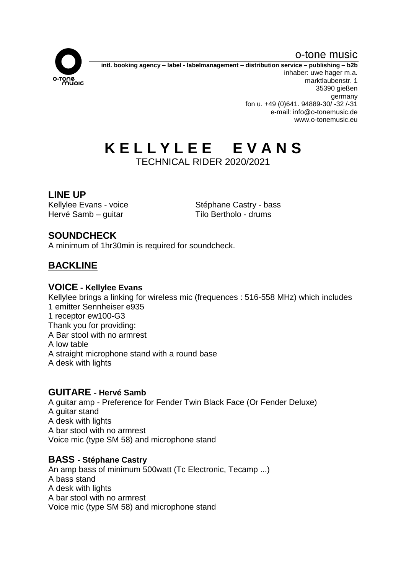o-tone music



**intl. booking agency – label - labelmanagement – distribution service – publishing – b2b** inhaber: uwe hager m.a. marktlaubenstr. 1 35390 gießen germany fon u. +49 (0)641. 94889-30/ -32 /-31 e-mail: info@o-tonemusic.de www.o-tonemusic.eu

# **K E L L Y L E E E V A N S**

TECHNICAL RIDER 2020/2021

# **LINE UP**

Hervé Samb – guitar Tilo Bertholo - drums

Kellylee Evans - voice Stéphane Castry - bass

# **SOUNDCHECK**

A minimum of 1hr30min is required for soundcheck.

# **BACKLINE**

#### **VOICE - Kellylee Evans**

Kellylee brings a linking for wireless mic (frequences : 516-558 MHz) which includes 1 emitter Sennheiser e935 1 receptor ew100-G3 Thank you for providing: A Bar stool with no armrest A low table A straight microphone stand with a round base A desk with lights

#### **GUITARE - Hervé Samb**

A guitar amp - Preference for Fender Twin Black Face (Or Fender Deluxe) A guitar stand A desk with lights A bar stool with no armrest Voice mic (type SM 58) and microphone stand

#### **BASS - Stéphane Castry**

An amp bass of minimum 500watt (Tc Electronic, Tecamp ...) A bass stand A desk with lights A bar stool with no armrest Voice mic (type SM 58) and microphone stand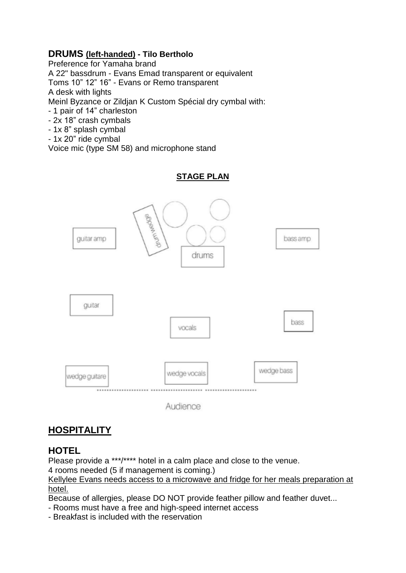#### **DRUMS (left-handed) - Tilo Bertholo**

Preference for Yamaha brand A 22" bassdrum - Evans Emad transparent or equivalent Toms 10" 12" 16" - Evans or Remo transparent A desk with lights Meinl Byzance or Zildjan K Custom Spécial dry cymbal with: - 1 pair of 14" charleston

- 2x 18" crash cymbals
- 1x 8" splash cymbal
- 1x 20" ride cymbal

Voice mic (type SM 58) and microphone stand

#### **STAGE PLAN**





## **HOSPITALITY**

## **HOTEL**

Please provide a \*\*\*/\*\*\*\* hotel in a calm place and close to the venue.

4 rooms needed (5 if management is coming.)

Kellylee Evans needs access to a microwave and fridge for her meals preparation at hotel.

Because of allergies, please DO NOT provide feather pillow and feather duvet...

- Rooms must have a free and high-speed internet access

- Breakfast is included with the reservation